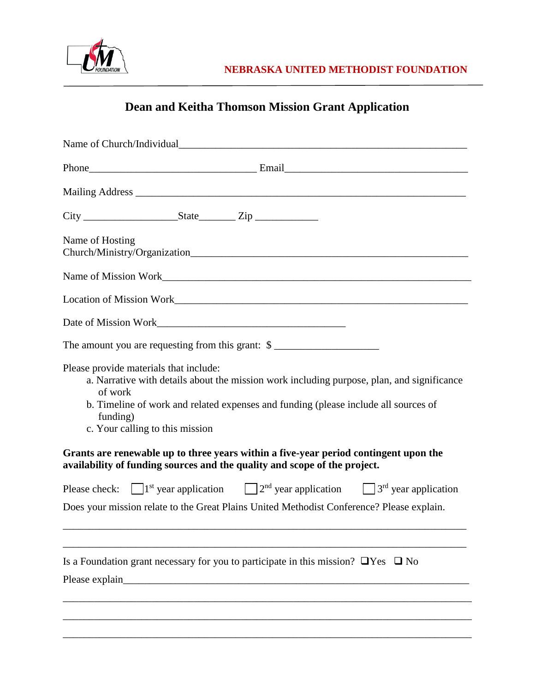

## **Dean and Keitha Thomson Mission Grant Application**

| Name of Church/Individual                                                                                                                                                                                                                                                                                                                                                                                                                                  |
|------------------------------------------------------------------------------------------------------------------------------------------------------------------------------------------------------------------------------------------------------------------------------------------------------------------------------------------------------------------------------------------------------------------------------------------------------------|
|                                                                                                                                                                                                                                                                                                                                                                                                                                                            |
|                                                                                                                                                                                                                                                                                                                                                                                                                                                            |
|                                                                                                                                                                                                                                                                                                                                                                                                                                                            |
| Name of Hosting                                                                                                                                                                                                                                                                                                                                                                                                                                            |
|                                                                                                                                                                                                                                                                                                                                                                                                                                                            |
|                                                                                                                                                                                                                                                                                                                                                                                                                                                            |
|                                                                                                                                                                                                                                                                                                                                                                                                                                                            |
| The amount you are requesting from this grant: $\gamma$                                                                                                                                                                                                                                                                                                                                                                                                    |
| Please provide materials that include:<br>a. Narrative with details about the mission work including purpose, plan, and significance<br>of work<br>b. Timeline of work and related expenses and funding (please include all sources of<br>funding)<br>c. Your calling to this mission<br>Grants are renewable up to three years within a five-year period contingent upon the<br>availability of funding sources and the quality and scope of the project. |
| Please check: $\Box$ 1 <sup>st</sup> year application $\Box$ 2 <sup>nd</sup> year application $\Box$ 3 <sup>rd</sup> year application                                                                                                                                                                                                                                                                                                                      |
| Does your mission relate to the Great Plains United Methodist Conference? Please explain.                                                                                                                                                                                                                                                                                                                                                                  |
| Is a Foundation grant necessary for you to participate in this mission? $\Box$ Yes $\Box$ No                                                                                                                                                                                                                                                                                                                                                               |
|                                                                                                                                                                                                                                                                                                                                                                                                                                                            |